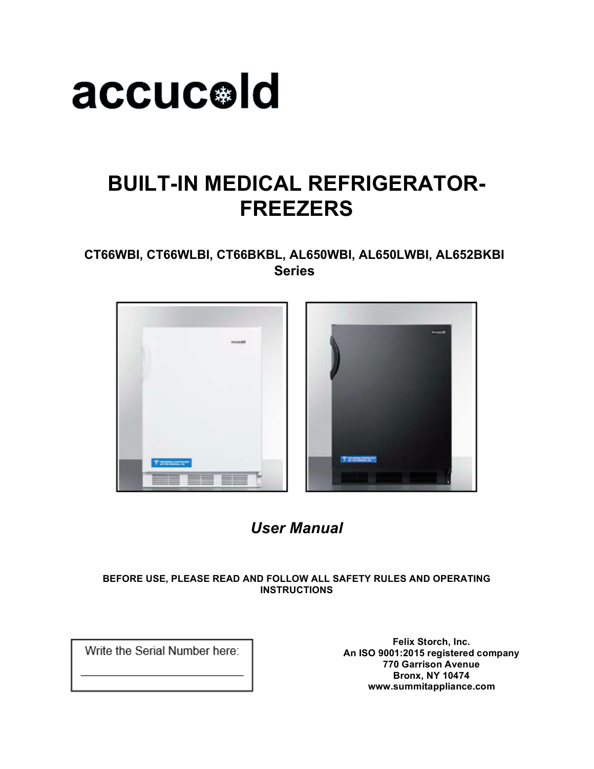

### **BUILT-IN MEDICAL REFRIGERATOR-FREEZERS**

**CT66WBI, CT66WLBI, CT66BKBL, AL650WBI, AL650LWBI, AL652BKBI Series**



### *User Manual*

#### **BEFORE USE, PLEASE READ AND FOLLOW ALL SAFETY RULES AND OPERATING INSTRUCTIONS**

Write the Serial Number here:

**Felix Storch, Inc. An ISO 9001:2015 registered company 770 Garrison Avenue Bronx, NY 10474 www.summitappliance.com**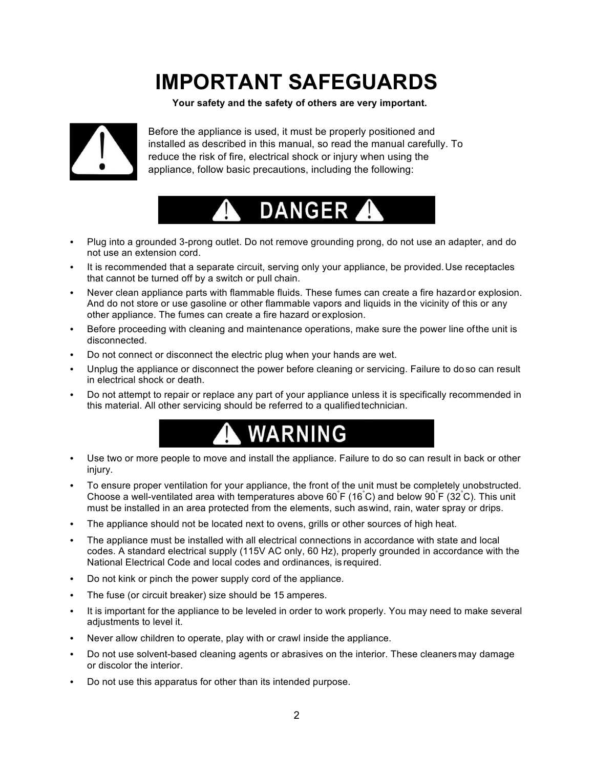## **IMPORTANT SAFEGUARDS**

**Your safety and the safety of others are very important.**



Before the appliance is used, it must be properly positioned and installed as described in this manual, so read the manual carefully. To reduce the risk of fire, electrical shock or injury when using the appliance, follow basic precautions, including the following:



- Plug into a grounded 3-prong outlet. Do not remove grounding prong, do not use an adapter, and do not use an extension cord.
- It is recommended that a separate circuit, serving only your appliance, be provided. Use receptacles that cannot be turned off by a switch or pull chain.
- Never clean appliance parts with flammable fluids. These fumes can create a fire hazardor explosion. And do not store or use gasoline or other flammable vapors and liquids in the vicinity of this or any other appliance. The fumes can create a fire hazard or explosion.
- Before proceeding with cleaning and maintenance operations, make sure the power line ofthe unit is disconnected.
- Do not connect or disconnect the electric plug when your hands are wet.
- Unplug the appliance or disconnect the power before cleaning or servicing. Failure to doso can result in electrical shock or death.
- Do not attempt to repair or replace any part of your appliance unless it is specifically recommended in this material. All other servicing should be referred to a qualifiedtechnician.



- Use two or more people to move and install the appliance. Failure to do so can result in back or other injury.
- To ensure proper ventilation for your appliance, the front of the unit must be completely unobstructed. Choose a well-ventilated area with temperatures above 60 F (16 C) and below 90 F (32 C). This unit must be installed in an area protected from the elements, such aswind, rain, water spray or drips.
- The appliance should not be located next to ovens, grills or other sources of high heat.
- The appliance must be installed with all electrical connections in accordance with state and local codes. A standard electrical supply (115V AC only, 60 Hz), properly grounded in accordance with the National Electrical Code and local codes and ordinances, is required.
- Do not kink or pinch the power supply cord of the appliance.
- The fuse (or circuit breaker) size should be 15 amperes.
- It is important for the appliance to be leveled in order to work properly. You may need to make several adjustments to level it.
- Never allow children to operate, play with or crawl inside the appliance.
- Do not use solvent-based cleaning agents or abrasives on the interior. These cleanersmay damage or discolor the interior.
- Do not use this apparatus for other than its intended purpose.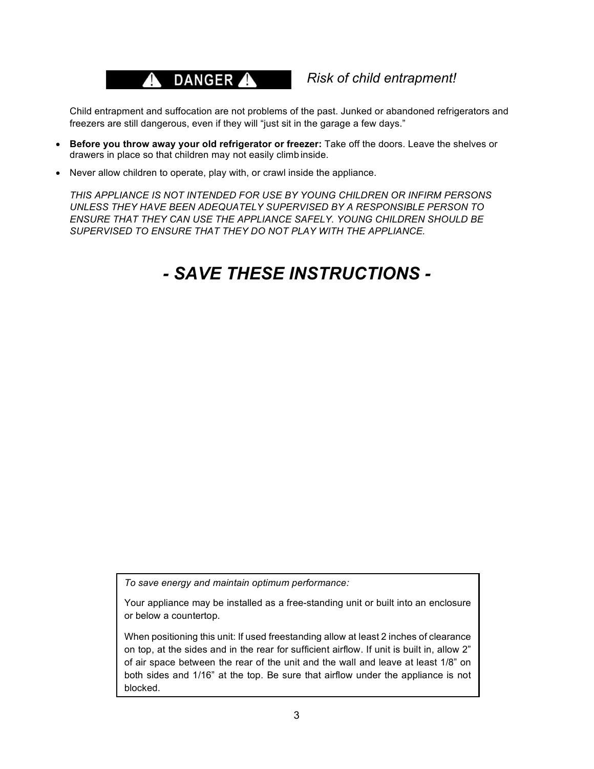### A DANGER A

#### *Risk of child entrapment!*

Child entrapment and suffocation are not problems of the past. Junked or abandoned refrigerators and freezers are still dangerous, even if they will "just sit in the garage a few days."

- **Before you throw away your old refrigerator or freezer:** Take off the doors. Leave the shelves or drawers in place so that children may not easily climb inside.
- Never allow children to operate, play with, or crawl inside the appliance.

*THIS APPLIANCE IS NOT INTENDED FOR USE BY YOUNG CHILDREN OR INFIRM PERSONS UNLESS THEY HAVE BEEN ADEQUATELY SUPERVISED BY A RESPONSIBLE PERSON TO ENSURE THAT THEY CAN USE THE APPLIANCE SAFELY. YOUNG CHILDREN SHOULD BE SUPERVISED TO ENSURE THAT THEY DO NOT PLAY WITH THE APPLIANCE.*

### *- SAVE THESE INSTRUCTIONS -*

*To save energy and maintain optimum performance:*

Your appliance may be installed as a free-standing unit or built into an enclosure or below a countertop.

When positioning this unit: If used freestanding allow at least 2 inches of clearance on top, at the sides and in the rear for sufficient airflow. If unit is built in, allow 2" of air space between the rear of the unit and the wall and leave at least 1/8" on both sides and 1/16" at the top. Be sure that airflow under the appliance is not blocked.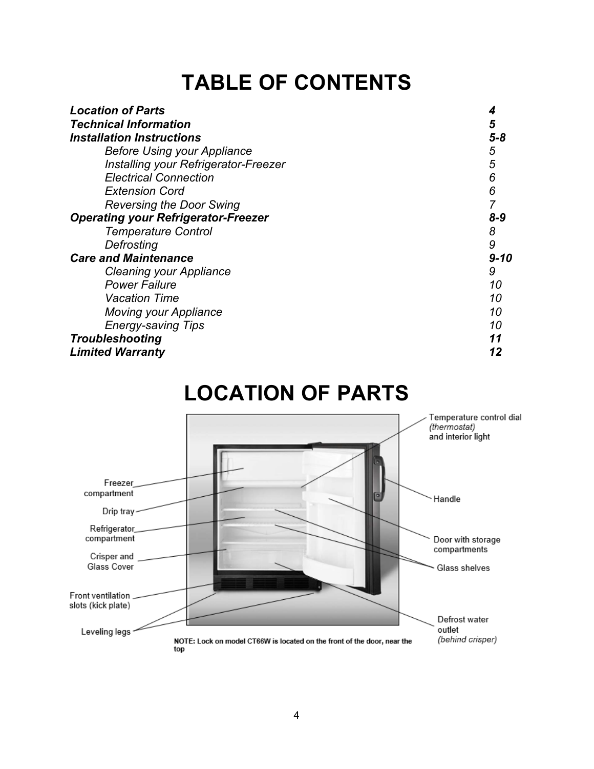## **TABLE OF CONTENTS**

| <b>Location of Parts</b>                   |          |
|--------------------------------------------|----------|
| <b>Technical Information</b>               | 5        |
| <b>Installation Instructions</b>           | 5-8      |
| <b>Before Using your Appliance</b>         | 5        |
| Installing your Refrigerator-Freezer       | 5        |
| <b>Electrical Connection</b>               | 6        |
| <b>Extension Cord</b>                      | 6        |
| <b>Reversing the Door Swing</b>            |          |
| <b>Operating your Refrigerator-Freezer</b> | 8-9      |
| <b>Temperature Control</b>                 | 8        |
| Defrosting                                 | 9        |
| <b>Care and Maintenance</b>                | $9 - 10$ |
| Cleaning your Appliance                    | 9        |
| <b>Power Failure</b>                       | 10       |
| <b>Vacation Time</b>                       | 10       |
| <b>Moving your Appliance</b>               | 10       |
| <b>Energy-saving Tips</b>                  | 10       |
| <b>Troubleshooting</b>                     | 11       |
| <b>Limited Warranty</b>                    | 12       |

## **LOCATION OF PARTS**

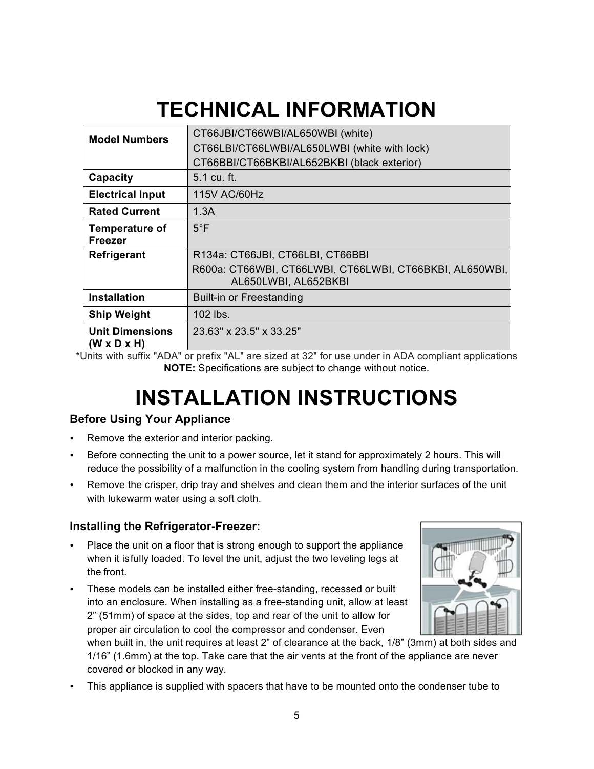# **TECHNICAL INFORMATION**

| <b>Model Numbers</b>                              | CT66JBI/CT66WBI/AL650WBI (white)<br>CT66LBI/CT66LWBI/AL650LWBI (white with lock)<br>CT66BBI/CT66BKBI/AL652BKBI (black exterior) |
|---------------------------------------------------|---------------------------------------------------------------------------------------------------------------------------------|
| Capacity                                          | 5.1 cu. ft.                                                                                                                     |
| <b>Electrical Input</b>                           | 115V AC/60Hz                                                                                                                    |
| <b>Rated Current</b>                              | 1.3A                                                                                                                            |
| <b>Temperature of</b><br><b>Freezer</b>           | $5^{\circ}$ F                                                                                                                   |
| <b>Refrigerant</b>                                | R134a: CT66JBI, CT66LBI, CT66BBI<br>R600a: CT66WBI, CT66LWBI, CT66LWBI, CT66BKBI, AL650WBI,<br>AL650LWBI, AL652BKBI             |
| <b>Installation</b>                               | <b>Built-in or Freestanding</b>                                                                                                 |
| <b>Ship Weight</b>                                | 102 lbs.                                                                                                                        |
| <b>Unit Dimensions</b><br>$(W \times D \times H)$ | 23.63" x 23.5" x 33.25"                                                                                                         |

\*Units with suffix "ADA" or prefix "AL" are sized at 32" for use under in ADA compliant applications **NOTE:** Specifications are subject to change without notice.

# **INSTALLATION INSTRUCTIONS**

#### **Before Using Your Appliance**

- Remove the exterior and interior packing.
- Before connecting the unit to a power source, let it stand for approximately 2 hours. This will reduce the possibility of a malfunction in the cooling system from handling during transportation.
- Remove the crisper, drip tray and shelves and clean them and the interior surfaces of the unit with lukewarm water using a soft cloth.

#### **Installing the Refrigerator-Freezer:**

- Place the unit on a floor that is strong enough to support the appliance when it isfully loaded. To level the unit, adjust the two leveling legs at the front.
- These models can be installed either free-standing, recessed or built into an enclosure. When installing as a free-standing unit, allow at least 2" (51mm) of space at the sides, top and rear of the unit to allow for proper air circulation to cool the compressor and condenser. Even



when built in, the unit requires at least 2" of clearance at the back, 1/8" (3mm) at both sides and 1/16" (1.6mm) at the top. Take care that the air vents at the front of the appliance are never covered or blocked in any way.

• This appliance is supplied with spacers that have to be mounted onto the condenser tube to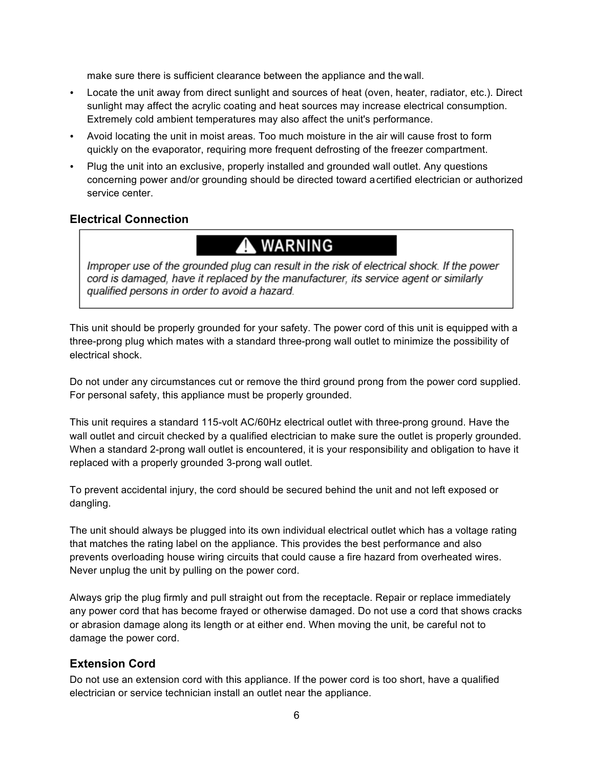make sure there is sufficient clearance between the appliance and the wall.

- Locate the unit away from direct sunlight and sources of heat (oven, heater, radiator, etc.). Direct sunlight may affect the acrylic coating and heat sources may increase electrical consumption. Extremely cold ambient temperatures may also affect the unit's performance.
- Avoid locating the unit in moist areas. Too much moisture in the air will cause frost to form quickly on the evaporator, requiring more frequent defrosting of the freezer compartment.
- Plug the unit into an exclusive, properly installed and grounded wall outlet. Any questions concerning power and/or grounding should be directed toward acertified electrician or authorized service center.

#### **Electrical Connection**

### **A** WARNING

Improper use of the grounded plug can result in the risk of electrical shock. If the power cord is damaged, have it replaced by the manufacturer, its service agent or similarly qualified persons in order to avoid a hazard.

This unit should be properly grounded for your safety. The power cord of this unit is equipped with a three-prong plug which mates with a standard three-prong wall outlet to minimize the possibility of electrical shock.

Do not under any circumstances cut or remove the third ground prong from the power cord supplied. For personal safety, this appliance must be properly grounded.

This unit requires a standard 115-volt AC/60Hz electrical outlet with three-prong ground. Have the wall outlet and circuit checked by a qualified electrician to make sure the outlet is properly grounded. When a standard 2-prong wall outlet is encountered, it is your responsibility and obligation to have it replaced with a properly grounded 3-prong wall outlet.

To prevent accidental injury, the cord should be secured behind the unit and not left exposed or dangling.

The unit should always be plugged into its own individual electrical outlet which has a voltage rating that matches the rating label on the appliance. This provides the best performance and also prevents overloading house wiring circuits that could cause a fire hazard from overheated wires. Never unplug the unit by pulling on the power cord.

Always grip the plug firmly and pull straight out from the receptacle. Repair or replace immediately any power cord that has become frayed or otherwise damaged. Do not use a cord that shows cracks or abrasion damage along its length or at either end. When moving the unit, be careful not to damage the power cord.

#### **Extension Cord**

Do not use an extension cord with this appliance. If the power cord is too short, have a qualified electrician or service technician install an outlet near the appliance.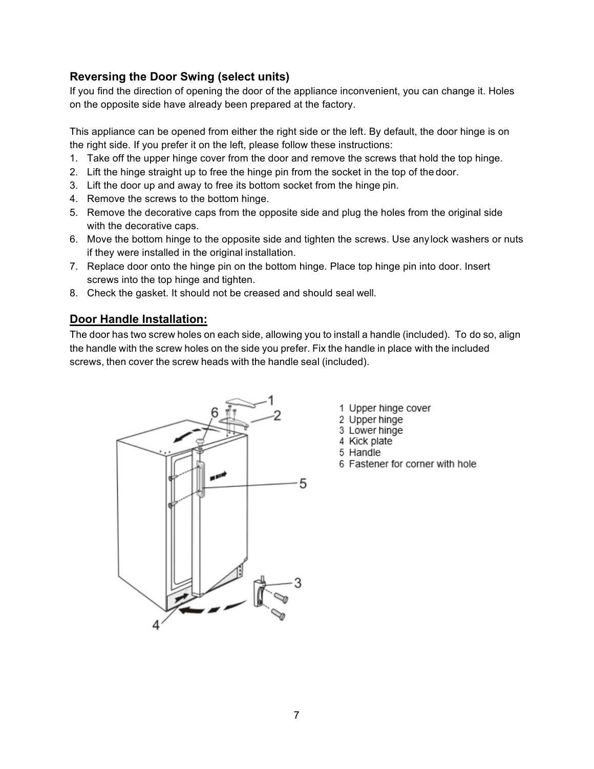#### **Reversing the Door Swing (select units)**

If you find the direction of opening the door of the appliance inconvenient, you can change it. Holes on the opposite side have already been prepared at the factory.

This appliance can be opened from either the right side or the left. By default, the door hinge is on the right side. If you prefer it on the left, please follow these instructions:

- 1. Take off the upper hinge cover from the door and remove the screws that hold the top hinge.
- 2. Lift the hinge straight up to free the hinge pin from the socket in the top of the door.
- 3. Lift the door up and away to free its bottom socket from the hinge pin.
- 4. Remove the screws to the bottom hinge.
- 5. Remove the decorative caps from the opposite side and plug the holes from the original side with the decorative caps.
- 6. Move the bottom hinge to the opposite side and tighten the screws. Use anylock washers or nuts if they were installed in the original installation.
- 7. Replace door onto the hinge pin on the bottom hinge. Place top hinge pin into door. Insert screws into the top hinge and tighten.
- 8. Check the gasket. It should not be creased and should seal well.

#### **Door Handle Installation:**

The door has two screw holes on each side, allowing you to install a handle (included). To do so, align the handle with the screw holes on the side you prefer. Fix the handle in place with the included screws, then cover the screw heads with the handle seal (included).



- 1 Upper hinge cover
- 2 Upper hinge
- 3 Lower hinge
- 4 Kick plate
- 5 Handle
- 6 Fastener for corner with hole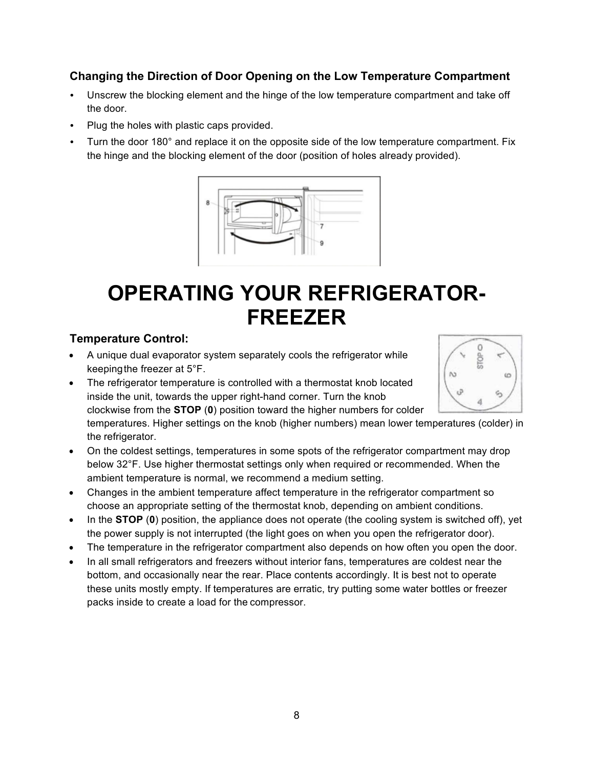#### **Changing the Direction of Door Opening on the Low Temperature Compartment**

- Unscrew the blocking element and the hinge of the low temperature compartment and take off the door.
- Plug the holes with plastic caps provided.
- Turn the door 180° and replace it on the opposite side of the low temperature compartment. Fix the hinge and the blocking element of the door (position of holes already provided).



### **OPERATING YOUR REFRIGERATOR-FREEZER**

#### **Temperature Control:**

- A unique dual evaporator system separately cools the refrigerator while keepingthe freezer at 5°F.
- The refrigerator temperature is controlled with a thermostat knob located inside the unit, towards the upper right-hand corner. Turn the knob clockwise from the **STOP** (**0**) position toward the higher numbers for colder



temperatures. Higher settings on the knob (higher numbers) mean lower temperatures (colder) in the refrigerator.

- On the coldest settings, temperatures in some spots of the refrigerator compartment may drop below 32°F. Use higher thermostat settings only when required or recommended. When the ambient temperature is normal, we recommend a medium setting.
- Changes in the ambient temperature affect temperature in the refrigerator compartment so choose an appropriate setting of the thermostat knob, depending on ambient conditions.
- In the **STOP** (**0**) position, the appliance does not operate (the cooling system is switched off), yet the power supply is not interrupted (the light goes on when you open the refrigerator door).
- The temperature in the refrigerator compartment also depends on how often you open the door.
- In all small refrigerators and freezers without interior fans, temperatures are coldest near the bottom, and occasionally near the rear. Place contents accordingly. It is best not to operate these units mostly empty. If temperatures are erratic, try putting some water bottles or freezer packs inside to create a load for the compressor.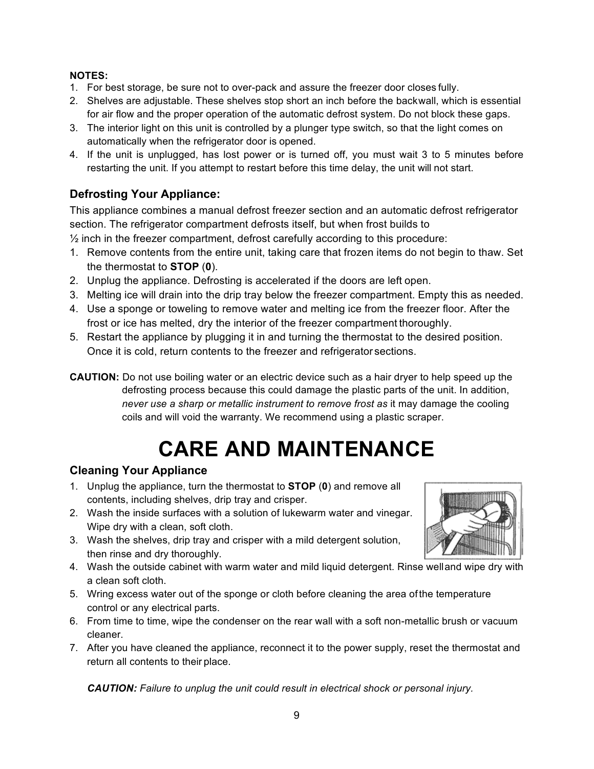#### **NOTES:**

- 1. For best storage, be sure not to over-pack and assure the freezer door closes fully.
- 2. Shelves are adjustable. These shelves stop short an inch before the backwall, which is essential for air flow and the proper operation of the automatic defrost system. Do not block these gaps.
- 3. The interior light on this unit is controlled by a plunger type switch, so that the light comes on automatically when the refrigerator door is opened.
- 4. If the unit is unplugged, has lost power or is turned off, you must wait 3 to 5 minutes before restarting the unit. If you attempt to restart before this time delay, the unit will not start.

#### **Defrosting Your Appliance:**

This appliance combines a manual defrost freezer section and an automatic defrost refrigerator section. The refrigerator compartment defrosts itself, but when frost builds to

 $\frac{1}{2}$  inch in the freezer compartment, defrost carefully according to this procedure:

- 1. Remove contents from the entire unit, taking care that frozen items do not begin to thaw. Set the thermostat to **STOP** (**0**).
- 2. Unplug the appliance. Defrosting is accelerated if the doors are left open.
- 3. Melting ice will drain into the drip tray below the freezer compartment. Empty this as needed.
- 4. Use a sponge or toweling to remove water and melting ice from the freezer floor. After the frost or ice has melted, dry the interior of the freezer compartment thoroughly.
- 5. Restart the appliance by plugging it in and turning the thermostat to the desired position. Once it is cold, return contents to the freezer and refrigerator sections.
- **CAUTION:** Do not use boiling water or an electric device such as a hair dryer to help speed up the defrosting process because this could damage the plastic parts of the unit. In addition, *never use a sharp or metallic instrument to remove frost as* it may damage the cooling coils and will void the warranty. We recommend using a plastic scraper.

## **CARE AND MAINTENANCE**

#### **Cleaning Your Appliance**

- 1. Unplug the appliance, turn the thermostat to **STOP** (**0**) and remove all contents, including shelves, drip tray and crisper.
- 2. Wash the inside surfaces with a solution of lukewarm water and vinegar. Wipe dry with a clean, soft cloth.
- 3. Wash the shelves, drip tray and crisper with a mild detergent solution, then rinse and dry thoroughly.
- 4. Wash the outside cabinet with warm water and mild liquid detergent. Rinse welland wipe dry with a clean soft cloth.
- 5. Wring excess water out of the sponge or cloth before cleaning the area of the temperature control or any electrical parts.
- 6. From time to time, wipe the condenser on the rear wall with a soft non-metallic brush or vacuum cleaner.
- 7. After you have cleaned the appliance, reconnect it to the power supply, reset the thermostat and return all contents to their place.

*CAUTION: Failure to unplug the unit could result in electrical shock or personal injury.*

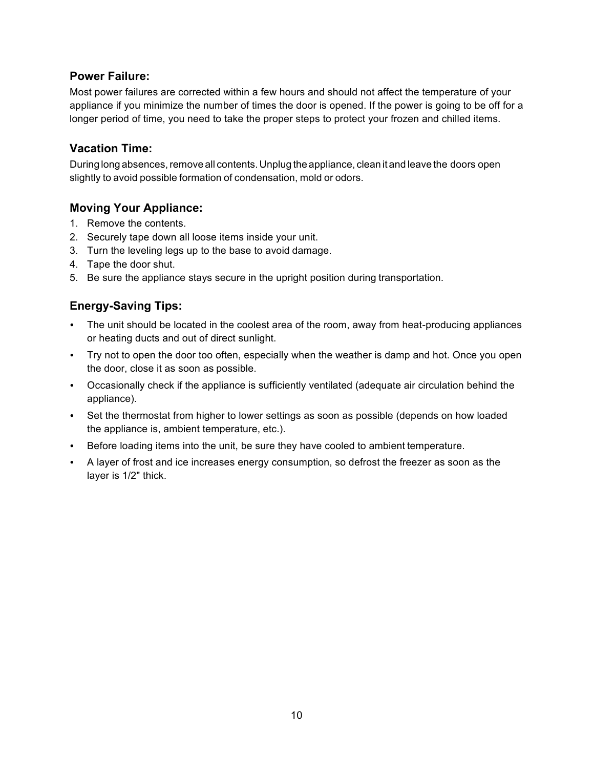#### **Power Failure:**

Most power failures are corrected within a few hours and should not affect the temperature of your appliance if you minimize the number of times the door is opened. If the power is going to be off for a longer period of time, you need to take the proper steps to protect your frozen and chilled items.

#### **Vacation Time:**

During long absences, remove all contents. Unplug the appliance, clean it and leave the doors open slightly to avoid possible formation of condensation, mold or odors.

#### **Moving Your Appliance:**

- 1. Remove the contents.
- 2. Securely tape down all loose items inside your unit.
- 3. Turn the leveling legs up to the base to avoid damage.
- 4. Tape the door shut.
- 5. Be sure the appliance stays secure in the upright position during transportation.

#### **Energy-Saving Tips:**

- The unit should be located in the coolest area of the room, away from heat-producing appliances or heating ducts and out of direct sunlight.
- Try not to open the door too often, especially when the weather is damp and hot. Once you open the door, close it as soon as possible.
- Occasionally check if the appliance is sufficiently ventilated (adequate air circulation behind the appliance).
- Set the thermostat from higher to lower settings as soon as possible (depends on how loaded the appliance is, ambient temperature, etc.).
- Before loading items into the unit, be sure they have cooled to ambient temperature.
- A layer of frost and ice increases energy consumption, so defrost the freezer as soon as the layer is 1/2" thick.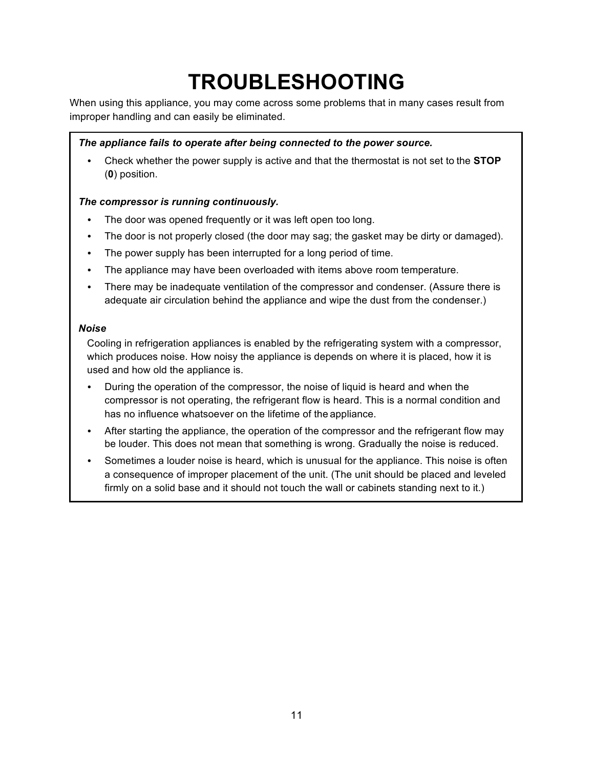# **TROUBLESHOOTING**

When using this appliance, you may come across some problems that in many cases result from improper handling and can easily be eliminated.

#### *The appliance fails to operate after being connected to the power source.*

• Check whether the power supply is active and that the thermostat is not set to the **STOP**  (**0**) position.

#### *The compressor is running continuously.*

- The door was opened frequently or it was left open too long.
- The door is not properly closed (the door may sag; the gasket may be dirty or damaged).
- The power supply has been interrupted for a long period of time.
- The appliance may have been overloaded with items above room temperature.
- There may be inadequate ventilation of the compressor and condenser. (Assure there is adequate air circulation behind the appliance and wipe the dust from the condenser.)

#### *Noise*

Cooling in refrigeration appliances is enabled by the refrigerating system with a compressor, which produces noise. How noisy the appliance is depends on where it is placed, how it is used and how old the appliance is.

- During the operation of the compressor, the noise of liquid is heard and when the compressor is not operating, the refrigerant flow is heard. This is a normal condition and has no influence whatsoever on the lifetime of the appliance.
- After starting the appliance, the operation of the compressor and the refrigerant flow may be louder. This does not mean that something is wrong. Gradually the noise is reduced.
- Sometimes a louder noise is heard, which is unusual for the appliance. This noise is often a consequence of improper placement of the unit. (The unit should be placed and leveled firmly on a solid base and it should not touch the wall or cabinets standing next to it.)